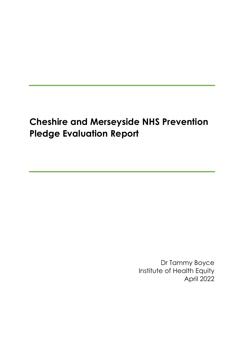# **Cheshire and Merseyside NHS Prevention Pledge Evaluation Report**

Dr Tammy Boyce Institute of Health Equity April 2022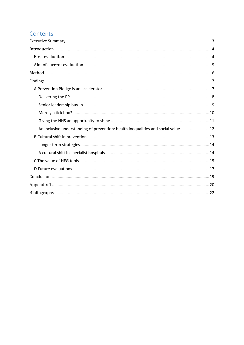# Contents

| An inclusive understanding of prevention: health inequalities and social value  12 |  |
|------------------------------------------------------------------------------------|--|
|                                                                                    |  |
|                                                                                    |  |
|                                                                                    |  |
|                                                                                    |  |
|                                                                                    |  |
|                                                                                    |  |
|                                                                                    |  |
|                                                                                    |  |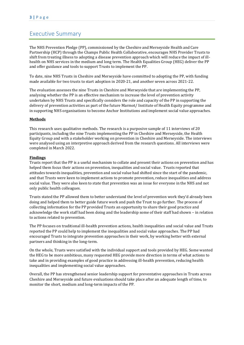### <span id="page-2-0"></span>Executive Summary

The NHS Prevention Pledge (PP), commissioned by the Cheshire and Merseyside Health and Care Partnership (HCP) through the Champs Public Health Collaborative, encourages NHS Provider Trusts to shift from treating illness to adopting a disease prevention approach which will reduce the impact of illhealth on NHS services in the medium and long term. The Health Equalities Group (HEG) deliver the PP and offer guidance and tools to support Trusts to implement the PP.

To date, nine NHS Trusts in Cheshire and Merseyside have committed to adopting the PP, with funding made available for two trusts to start adoption in 2020-21, and another seven across 2021-22.

The evaluation assesses the nine Trusts in Cheshire and Merseyside that are implementing the PP, analysing whether the PP is an effective mechanism to increase the level of prevention activity undertaken by NHS Trusts and specifically considers the role and capacity of the PP in supporting the delivery of prevention activities as part of the future Marmot/ Institute of Health Equity programme and in supporting NHS organisations to become Anchor Institutions and implement social value approaches.

#### **Methods**

This research uses qualitative methods. The research is a purposive sample of 11 interviews of 20 participants, including the nine Trusts implementing the PP in Cheshire and Merseyside, the Health Equity Group and with a stakeholder working on prevention in Cheshire and Merseyside. The interviews were analysed using an interpretive approach derived from the research questions. All interviews were completed in March 2022.

#### **Findings**

Trusts report that the PP is a useful mechanism to collate and present their actions on prevention and has helped them focus their actions on prevention, inequalities and social value. Trusts reported that attitudes towards inequalities, prevention and social value had shifted since the start of the pandemic, and that Trusts were keen to implement actions to promote prevention, reduce inequalities and address social value. They were also keen to state that prevention was an issue for everyone in the NHS and not only public health colleagues.

Trusts stated the PP allowed them to better understand the level of prevention work they'd already been doing and helped them to better guide future work and push the Trust to go further. The process of collecting information for the PP provided Trusts an opportunity to share their good practice and acknowledge the work staff had been doing and the leadership some of their staff had shown – in relation to actions related to prevention.

The PP focuses on traditional ill-health prevention actions, health inequalities and social value and Trusts reported the PP could help to implement the inequalities and social value approaches. The PP had encouraged Trusts to integrate prevention approaches in their work, by working better with external partners and thinking in the long-term.

On the whole, Trusts were satisfied with the individual support and tools provided by HEG. Some wanted the HEG to be more ambitious, many requested HEG provide more direction in terms of what actions to take and in providing examples of good practice in addressing ill-health prevention, reducing health inequalities and implementing social value approaches.

Overall, the PP has strengthened senior leadership support for preventative approaches in Trusts across Cheshire and Merseyside and future evaluations should take place after an adequate length of time, to monitor the short, medium and long-term impacts of the PP.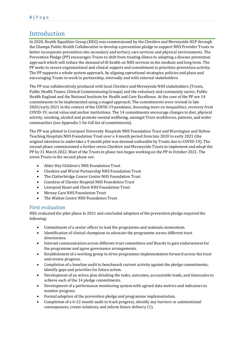# <span id="page-3-0"></span>Introduction

In 2020, Health Equalities Group (HEG) was commissioned by the Cheshire and Merseyside HCP through the Champs Public Health Collaborative to develop a prevention pledge to support NHS Provider Trusts to better incorporate prevention into secondary and tertiary care services and physical environments. The Prevention Pledge (PP) encourages Trusts to shift from treating illness to adopting a disease prevention approach which will reduce the demand of ill-health on NHS services in the medium and long term. The PP seeks to secure organisational and clinical support and commitment to prioritise prevention activity. The PP supports a whole system approach, by aligning operational strategies, policies and plans and encouraging Trusts to work in partnership, internally and with external stakeholders.

The PP was collaboratively produced with local Cheshire and Merseyside NHS stakeholders (Trusts, Public Health Teams, Clinical Commissioning Groups) and the voluntary and community sector, Public Health England and the National Institute for Health and Care Excellence. At the core of the PP are 14 commitments to be implemented using a staged approach. The commitments were revised in late 2020/early 2021 in the context of the COVID-19 pandemic, focussing more on inequalities, recovery from COVID-19, social value and anchor institutions. The 14 commitments encourage changes to diet, physical activity, smoking, alcohol and promote mental wellbeing, amongst Trust workforces, patients, and wider communities (see Appendix 1 for full list of commitments).

The PP was piloted in Liverpool University Hospitals NHS Foundation Trust and Warrington and Halton Teaching Hospitals NHS Foundation Trust over a 4 month period from late 2020 to early 2021 (the original intention to undertake a 9 month pilot was deemed unfeasible by Trusts due to COVID-19). The second phase commissioned a further seven Cheshire and Merseyside Trusts to implement and adopt the PP by 31 March 2022. Most of the Trusts in phase two began working on the PP in October 2021. The seven Trusts in the second phase are:

- Alder Hey Children's NHS Foundation Trust
- Cheshire and Wirral Partnership NHS Foundation Trust
- The Clatterbridge Cancer Centre NHS Foundation Trust
- Countess of Chester Hospital NHS Foundation Trust
- Liverpool Heart and Chest NHS Foundation Trust
- Mersey Care NHS Foundation Trust
- The Walton Centre NHS Foundation Trust

### <span id="page-3-1"></span>First evaluation

HEG evaluated the pilot phase in 2021 and concluded adoption of the prevention pledge required the following:

- Commitment of a senior officer to lead the programme and maintain momentum.
- Identification of clinical champions to advocate the programme across different trust directorates.
- Internal communication across different trust committees and Boards to gain endorsement for the programme and agree governance arrangements.
- Establishment of a working group to drive programme implementation forward across the trust and review progress.
- Completion of a baseline audit to benchmark current activity against the pledge commitments, identify gaps and priorities for future action.
- Development of an action plan detailing the tasks, outcomes, accountable leads, and timescales to achieve each of the 14 pledge commitments.
- Development of a performance monitoring system with agreed data metrics and indicators to monitor progress.
- Formal adoption of the prevention pledge and programme implementation.
- Completion of a 6-12-month audit to track progress, identify any barriers or unintentional consequences, create solutions, and inform future delivery (1).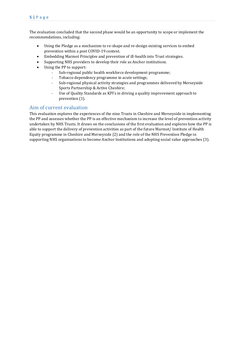### **5 |** P a g e

The evaluation concluded that the second phase would be an opportunity to scope or implement the recommendations, including:

- Using the Pledge as a mechanism to re-shape and re-design existing services to embed prevention within a post COVID-19 context.
- Embedding Marmot Principles and prevention of ill-health into Trust strategies.
- Supporting NHS providers to develop their role as Anchor institutions.
- Using the PP to support:
	- Sub-regional public health workforce development programme;
	- Tobacco dependency programme in acute settings;
	- Sub-regional physical activity strategies and programmes delivered by Merseyside Sports Partnership & Active Cheshire;
	- Use of Quality Standards as KPI's in driving a quality improvement approach to prevention (1).

### <span id="page-4-0"></span>Aim of current evaluation

This evaluation explores the experiences of the nine Trusts in Cheshire and Merseyside in implementing the PP and assesses whether the PP is an effective mechanism to increase the level of prevention activity undertaken by NHS Trusts. It draws on the conclusions of the first evaluation and explores how the PP is able to support the delivery of prevention activities as part of the future Marmot/ Institute of Health Equity programme in Cheshire and Merseyside (2) and the role of the NHS Prevention Pledge in supporting NHS organisations to become Anchor Institutions and adopting social value approaches (3).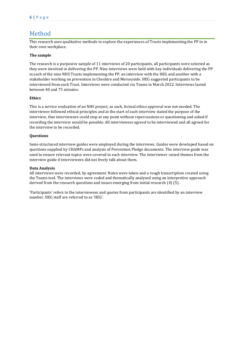# <span id="page-5-0"></span>Method

This research uses qualitative methods to explore the experiences of Trusts implementing the PP in in their own workplace.

#### **The sample**

The research is a purposive sample of 11 interviews of 20 participants, all participants were selected as they were involved in delivering the PP. Nine interviews were held with key individuals delivering the PP in each of the nine NHS Trusts implementing the PP, an interview with the HEG and another with a stakeholder working on prevention in Cheshire and Merseyside. HEG suggested participants to be interviewed from each Trust. Interviews were conducted via Teams in March 2022. Interviews lasted between 40 and 75 minutes.

#### **Ethics**

This is a service evaluation of an NHS project, as such, formal ethics approval was not needed. The interviewer followed ethical principles and at the start of each interview stated the purpose of the interview, that interviewees could stop at any point without repercussions or questioning and asked if recording the interview would be possible. All interviewees agreed to be interviewed and all agreed for the interview to be recorded.

#### **Questions**

Semi-structured interview guides were employed during the interviews. Guides were developed based on questions supplied by CHAMPs and analysis of Prevention Pledge documents. The interview guide was used to ensure relevant topics were covered in each interview. The interviewer raised themes from the interview guide if interviewees did not freely talk about them.

#### **Data Analysis**

All interviews were recorded, by agreement. Notes were taken and a rough transcription created using the Teams tool. The interviews were coded and thematically analysed using an interpretive approach derived from the research questions and issues emerging from initial research (4) (5).

'Participants' refers to the interviewees and quotes from participants are identified by an interview number. HEG staff are referred to as 'HEG'.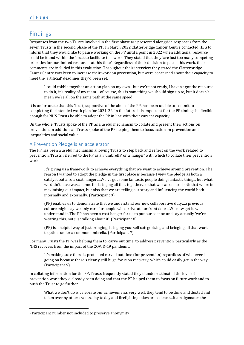### <span id="page-6-0"></span>Findings

Responses from the two Trusts involved in the first phase are presented alongside responses from the seven Trusts in the second phase of the PP. In March 2022 Clatterbridge Cancer Centre contacted HEG to inform that they would like to pause working on the PP until a point in 2022 when additional resource could be found within the Trust to facilitate this work. They stated that they 'are just too many competing priorities for our limited resources at this time'. Regardless of their decision to pause this work, their comments are included in this evaluation. Throughout their interview they stated the Clatterbridge Cancer Centre was keen to increase their work on prevention, but were concerned about their capacity to meet the 'artificial' deadlines they'd been set.

I could cobble together an action plan on my own…but we're not ready, I haven't got the resource to do it, it's reality of my team… of course, this is something we should sign up to, but it doesn't mean we're all on the same path at the same speed.<sup>1</sup>

It is unfortunate that this Trust, supportive of the aims of the PP, has been unable to commit to completing the intended work plan for 2021-22. In the future it is important for the PP timings be flexible enough for NHS Trusts be able to adopt the PP in line with their current capacity.

On the whole, Trusts spoke of the PP as a useful mechanism to collate and present their actions on prevention. In addition, all Trusts spoke of the PP helping them to focus action on prevention and inequalities and social value.

### <span id="page-6-1"></span>A Prevention Pledge is an accelerator

The PP has been a useful mechanism allowing Trusts to step back and reflect on the work related to prevention. Trusts referred to the PP as an 'umbrella' or a 'hanger' with which to collate their prevention work.

It's giving us a framework to achieve everything that we want to achieve around prevention. The reason I wanted to adopt the pledge in the first place is because I view the pledge as both a catalyst but also a coat hanger….We've got some fantastic people doing fantastic things, but what we didn't have was a home for bringing all that together, so that we can ensure both that we're in maximising our impact, but also that we are telling our story and influencing the world both internally and externally. (Participant 9)

(PP) enables us to demonstrate that we understand our new collaborative duty…a previous culture might say we only care for people who arrive at our front door…We now get it, we understand it. The PP has been a coat hanger for us to put our coat on and say actually 'we're wearing this, not just talking about it'. (Participant 8)

(PP) is a helpful way of just bringing, bringing yourself categorising and bringing all that work together under a common umbrella. (Participant 7)

For many Trusts the PP was helping them to 'carve out time' to address prevention, particularly as the NHS recovers from the impact of the COVID-19 pandemic.

It's making sure there is protected carved out time (for prevention) regardless of whatever is going on because there's clearly still huge focus on recovery, which could easily get in the way. (Participant 9)

In collating information for the PP, Trusts frequently stated they'd under-estimated the level of prevention work they'd already been doing and that the PP helped them to focus on future work and to push the Trust to go further.

What we don't do is celebrate our achievements very well, they tend to be done and dusted and taken over by other events, day to day and firefighting takes precedence…It amalgamates the

<sup>1</sup> Participant number not included to preserve anonymity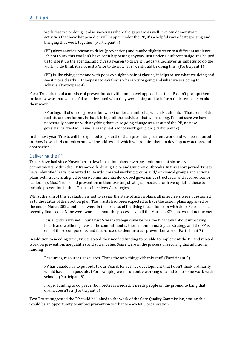work that we're doing. It also shows us where the gaps are as well…we can demonstrate activities that have happened or will happen under the PP, it's a helpful way of categorising and bringing that work together. (Participant 7)

(PP) gives another reason to drive (prevention) and maybe slightly steer to a different audience. It's not to say this wouldn't have been happening anyway, just under a different badge. It's helped us to rise it up the agenda…and gives a reason to drive it… adds value…gives us impetus to do the work… I do think it's not just a 'nice to do now', it's 'we should be doing this'. (Participant 1)

(PP) is like giving someone with poor eye sight a pair of glasses, it helps to see what we doing and see it more clearly…. It helps us to say this is where we're going and what we are going to achieve. (Participant 4)

For a Trust that had a number of prevention activities and novel approaches, the PP didn't prompt them to do new work but was useful to understand what they were doing and to inform their senior team about their work.

PP brings all of our of (prevention work) under an umbrella, which is quite nice. That's one of the real attractions for me, is that it brings all the activities that we're doing. I'm not sure we have necessarily come up with anything that we're going change as a result of the PP, no new governance created, …(we) already had a lot of work going on. (Participant 2)

In the next year, Trusts will be expected to go further than presenting current work and will be required to show how all 14 commitments will be addressed, which will require them to develop new actions and approaches.

#### <span id="page-7-0"></span>Delivering the PP

Trusts have had since November to develop action plans covering a minimum of six or seven commitments within the PP framework, during Delta and Omicron outbreaks. In this short period Trusts have; identified leads, presented to Boards; created working groups and/ or clinical groups and actions plans with trackers aligned to core commitments; developed governance structures; and secured senior leadership. Most Trusts had prevention in their existing strategic objectives or have updated these to include prevention in their Trust's objectives / strategies.

Whilst the aim of this evaluation is not to assess the state of action plans, all interviews were questioned as to the status of their action plan. The Trusts had been expected to have the action plans approved by the end of March 2022 and most were in the process of finalising the action plan with their Boards or had recently finalised it. None were worried about the process, even if the March 2022 date would not be met.

It is slightly early yet… our Trust 5 year strategy came before the PP, it talks about improving health and wellbeing lives…. the commitment is there in our Trust 5 year strategy and the PP is one of those components and factors used to demonstrate prevention work. (Participant 7)

In addition to needing time, Trusts stated they needed funding to be able to implement the PP and related work on prevention, inequalities and social value. Some were in the process of securing this additional funding.

Resources, resources, resources. That's the only thing with this stuff. (Participant 9)

PP has enabled us to put bids to our Board, for service development that I don't think ordinarily would have been possible. (For example) we're currently working on a bid to do some work with schools. (Participant 8)

Proper funding to do prevention better is needed, it needs people on the ground to bang that drum, doesn't it? (Participant 5)

Two Trusts suggested the PP could be linked to the work of the Care Quality Commission, stating this would be an opportunity to embed prevention work into each NHS organisation.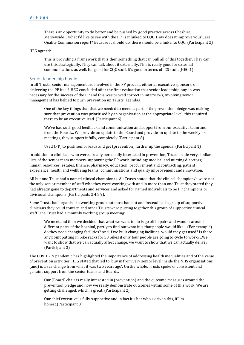There's an opportunity to do better and be pushed by good practice across Cheshire, Merseyside… what I'd like to see with the PP, is it linked to CQC. How does it improve your Care Quality Commission report? Because it should do, there should be a link into CQC. (Participant 2)

#### HEG agreed:

This is providing a framework that is then something that can pull all of this together. They can use this strategically. They can talk about it externally. This is really good for external communications as well. It's good for CQC stuff. It's good in terms of ICS stuff. (HEG 1)

#### <span id="page-8-0"></span>Senior leadership buy-in

In all Trusts, senior management are involved in the PP process, either as executive sponsors, or delivering the PP itself. HEG concluded after the first evaluation that senior leadership buy-in was necessary for the success of the PP and this was proved correct in interviews, involving senior management has helped to push prevention up Trusts' agendas.

One of the key things that that we needed to meet as part of the prevention pledge was making sure that prevention was prioritised by an organisation at the appropriate level, this required there to be an executive lead. (Participant 6)

We've had such good feedback and communication and support from our executive team and from the Board… We provide an update to the Board and provide an update to the weekly exec meetings, they support it fully, completely.(Participant 8)

Used (PP) to push senior leads and get (prevention) further up the agenda. (Participant 1)

In addition to clinicians who were already personally interested in prevention, Trusts made very similar lists of the senior team members supporting the PP work, including: medical and nursing directors; human resources; estates; finance; pharmacy; education; procurement and contracting; patient experience; health and wellbeing teams; communications and quality improvement and innovation.

All but one Trust had a named clinical champion/s. All Trusts stated that the clinical champion/s were not the only senior member of staff who they were working with and in more than one Trust they stated they had already gone to departments and services and asked for named individuals to be PP champions or divisional champions (Participants 2,4,8,9).

Some Trusts had organised a working group but most had not and instead had a group of supportive clinicians they could contact, and other Trusts were putting together this group of supportive clinical staff. One Trust had a monthly working group meeting:

We meet and then we decided that what we want to do is go off in pairs and wander around different parts of the hospital, partly to find out what it is that people would like….(For example) do they need changing facilities? And if we built changing facilities, would they get used? Is there any point putting in bike racks for 50 bikes if only four people are going to cycle to work?...We want to show that we can actually affect change, we want to show that we can actually deliver. (Participant 3)

The COVID-19 pandemic has highlighted the importance of addressing health inequalities and of the value of prevention activities. HEG stated that led to 'buy in from very senior level inside the NHS organisations (and) is a sea change from what it was two years ago'. On the whole, Trusts spoke of consistent and genuine support from the senior teams and Boards.

Our (Board) chair is really interested in (prevention) and the outcome measures around the prevention pledge and how we really demonstrate outcomes within some of this work. We are getting challenged, which is great. (Participant 2)

Our chief executive is fully supportive and in fact it's her who's driven this, if I'm honest.(Participant 3)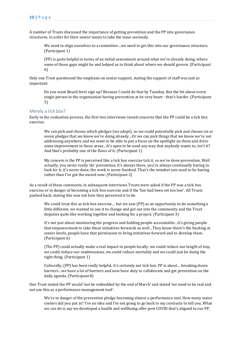A number of Trusts discussed the importance of getting prevention and the PP into governance structures, in order for their senior teams to take the issue seriously.

We need to align ourselves to a committee…we need to get this into our governance structure. (Participant 1)

(PP) is quite helpful in terms of an initial assessment around what we're already doing, where some of those gaps might be and helped us to think about where we should govern. (Participant 6)

Only one Trust questioned the emphasis on senior support, stating the support of staff was just as important:

Do you want Board level sign up? Because I could do that by Tuesday. But the bit about every single person in the organisation having prevention at its very heart - that's harder. (Participant 5)

#### <span id="page-9-0"></span>Merely a tick box?

Early in the evaluation process, the first two interviews raised concerns that the PP could be a tick box exercise.

We can pick and choose which pledges (we adopt), so we could potentially pick and choose six or seven pledges that we know we're doing already…Or we can pick things that we know we're not addressing anywhere and we want to be able to put a focus on the spotlight on them and drive some improvement in those areas…It's open to be used any way that anybody wants to, isn't it? And that's probably one of the flaws of it. (Participant 1)

My concern is the PP is perceived like a tick box exercise tick it, so we've done prevention. Well actually, you never really 'do' prevention, it's always there, you're always continually having to look for it, it's never done, the work is never finished. That's the mindset you need to be having rather than I've got the award now. (Participant 2)

As a result of these comments, in subsequent interviews Trusts were asked if the PP was a tick box exercise or in danger of becoming a tick box exercise and if the 'bar had been set too low'. All Trusts pushed back, stating this was not how they perceived it to be.

We could treat this as tick box exercise… but we saw (PP) as an opportunity to do something a little different, we wanted to use it to change and get out into the community and the Trust deputies quite like working together and looking for a project. (Participant 3)

It's not just about monitoring the progress and holding people accountable…it's giving people that empowerment to take those initiatives forwards as well…They know there's the backing at senior levels, people have that permission to bring initiatives forward and to develop them. (Participant 6)

(The PP) could actually make a real impact to people locally, we could reduce our length of stay, we could reduce our readmissions, we could reduce mortality and we could just be doing the right thing. (Participant 1)

Culturally, (PP) has been really helpful, it's certainly not tick box. PP is about… breaking down barriers…we have a lot of barriers and now have duty to collaborate and get prevention on the daily agenda. (Participant 8)

One Trust stated the PP would 'not be embedded by the end of March' and stated 'we need to be real and not use this as a performance management tool':

We're in danger of the prevention pledge becoming almost a performance tool. How many water coolers did you put in? I've no idea and I'm not going to go back to my contracts to tell you. What we *can* do is say we developed a health and wellbeing offer post COVID that's aligned to our PP,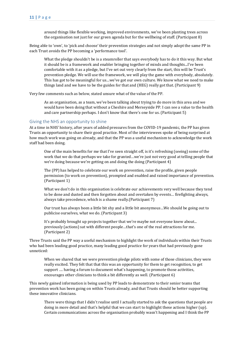around things like flexible working, improved environments, we've been planting trees across the organisation not just for our green agenda but for the wellbeing of staff. (Participant 8)

Being able to 'own', to 'pick and choose' their prevention strategies and not simply adopt the same PP in each Trust avoids the PP becoming a 'performance tool'.

What the pledge shouldn't be is a steamroller that says everybody has to do it this way. But what it should be is a framework and enabler bringing together of minds and thoughts...I've been comfortable with it as a pledge, but I've set out very clearly from the start, this will be Trust's prevention pledge. We will use the framework, we will play the game with everybody, absolutely. This has got to be meaningful for us…we've got our own culture. We know what we need to make things land and we have to be the guides for that and (HEG) really got that. (Participant 9)

Very few comments such as below, stated unsure what of the value of the PP.

As an organisation, as a team, we've been talking about trying to do more in this area and we would have been doing that without a Cheshire and Merseyside PP. I can see a value to the health and care partnership perhaps. I don't know that there's one for us. (Participant 5)

#### <span id="page-10-0"></span>Giving the NHS an opportunity to shine

At a time in NHS' history, after years of added pressures from the COVID-19 pandemic, the PP has given Trusts an opportunity to share their good practice. Most of the interviewees spoke of being surprised at how much work was going on already, and that the PP was a useful mechanism to acknowledge the work staff had been doing.

One of the main benefits for me that I've seen straight off, is it's refreshing (seeing) some of the work that we do that perhaps we take for granted…we're just not very good at telling people that we're doing because we're getting on and doing the doing (Participant 4)

The (PP) has helped to celebrate our work on prevention, raise the profile, given people permission (to work on prevention), prompted and enabled and raised importance of prevention. (Participant 1)

What we don't do in this organisation is celebrate our achievements very well because they tend to be done and dusted and then forgotten about and overtaken by events… firefighting always, always take precedence, which is a shame really.(Participant 7)

Our trust has always been a little bit shy and a little bit anonymous…We should be going out to publicise ourselves, what we do. (Participant 3)

It's probably brought up projects together that we're maybe not everyone knew about... previously (actions) sat with different people…that's one of the real attractions for me. (Participant 2)

Three Trusts said the PP way a useful mechanism to highlight the work of individuals within their Trusts who had been leading good practice, many leading good practice for years that had previously gone unnoticed:

When we shared that we were prevention pledge pilots with some of those clinicians, they were really excited. They felt that that this was an opportunity for them to get recognition, to get support …. having a forum to document what's happening, to promote those activities, encourages other clinicians to think a bit differently as well. (Participant 6)

This newly gained information is being used by PP leads to demonstrate to their senior teams that prevention work has been going on within Trusts already, and that Trusts should be better supporting these innovative clinicians.

There were things that I didn't realise until I actually started to ask the questions that people are doing in more detail and that's helpful that we can start to highlight these actions higher (up). Certain communications across the organisation probably wasn't happening and I think the PP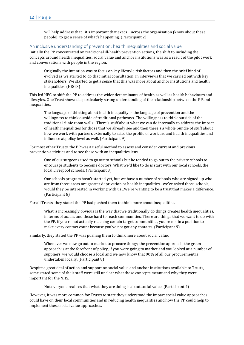will help address that…it's important that execs …across the organisation (know about these people), to get a sense of what's happening. (Participant 2)

#### <span id="page-11-0"></span>An inclusive understanding of prevention: health inequalities and social value

Initially the PP concentrated on traditional ill-health prevention actions, the shift to including the concepts around health inequalities, social value and anchor institutions was as a result of the pilot work and conversations with people in the region.

Originally the intention was to focus on key lifestyle risk factors and then the brief kind of evolved as we started to do that initial consultation, in interviews that we carried out with key stakeholders. We started to get a sense that this was more about anchor institutions and health inequalities. (HEG 3)

This led HEG to shift the PP to address the wider determinants of health as well as health behaviours and lifestyles. One Trust showed a particularly strong understanding of the relationship between the PP and inequalities.

The language of thinking about health inequality is the language of prevention and the willingness to think outside of traditional pathways. The willingness to think outside of the traditional clinic room walls…There's stuff about what we can do internally to address the impact of health inequalities for those that we already see and then there's a whole bundle of stuff about how we work with partners externally to raise the profile of work around health inequalities and influence at policy level as well. (Participant 9)

For most other Trusts, the PP was a useful method to assess and consider current and previous prevention activities and to see these with an inequalities lens.

One of our surgeons used to go out to schools but he tended to go out to the private schools to encourage students to become doctors. What we'd like to do is start with our local schools, the local Liverpool schools. (Participant 3)

Our schools program hasn't started yet, but we have a number of schools who are signed up who are from those areas are greater deprivation or health inequalities…we've asked those schools, would they be interested in working with us...We're wanting to be a trust that makes a difference. (Participant 8)

For all Trusts, they stated the PP had pushed them to think more about inequalities.

What is increasingly obvious is the way that we traditionally do things creates health inequalities, in terms of access and those hard to reach communities. There are things that we want to do with the PP, if you're not actually reaching certain target communities, you're not in a position to make every contact count because you've not got any contacts. (Participant 9)

Similarly, they stated the PP was pushing them to think more about social value.

Whenever we now go out to market to procure things, the prevention approach, the green approach is at the forefront of policy, if you were going to market and you looked at a number of suppliers, we would choose a local and we now know that 90% of all our procurement is undertaken locally. (Participant 8)

Despite a great deal of action and support on social value and anchor institutions available to Trusts, some stated some of their staff were still unclear what these concepts meant and why they were important for the NHS.

Not everyone realises that what they are doing is about social value. (Participant 4)

However, it was more common for Trusts to state they understood the impact social value approaches could have on their local communities and in reducing health inequalities and how the PP could help to implement these social value approaches.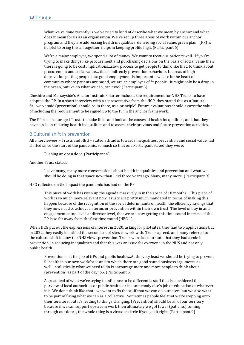What we've done recently is we've tried to kind of describe what we mean by anchor and what does it mean for us as an organisation. We've set up three areas of work within our anchor program and they are addressing health inequalities, delivering social value, green plan…(PP) is helpful to bring this all together, helps in keeping profile high. (Participant 6)

We're a major employer, we spend a lot of money. We want to treat our patients well…If you're trying to make things like procurement and purchasing decisions on the basis of social value then there is going to be cost implications…slow process to get people to think like that, to think about procurement and social value… that's indirectly prevention behaviour. In areas of high deprivation getting people into good employment is important… we are in the heart of community where patients are based, we are an employer of \*\* people…it might only be a drop in the ocean, but we do what we can, can't we? (Participant 5)

Cheshire and Merseyside's Anchor Institute Charter includes the requirement for NHS Trusts to have adopted the PP. In a short interview with a representative from the HCP, they stated this as a 'natural fit…we've said (prevention) should be in there, as a principle'. Future evaluations should assess the value of including the requirement to be signed up to the PP in the anchor framework.

The PP has encouraged Trusts to make links and look at the causes of health inequalities, and that they have a role in reducing health inequalities and to assess their previous and future prevention activities.

#### <span id="page-12-0"></span>B Cultural shift in prevention

All interviewees – Trusts and HEG – stated attitudes towards inequalities, prevention and social value had shifted since the start of the pandemic, so much so that one Participant stated they were:

Pushing an open door. (Participant 4)

Another Trust stated:

I have many, many more conversations about health inequalities and prevention and what we should be doing in that space now than I did three years ago. Many, many more. (Participant 9)

HEG reflected on the impact the pandemic has had on the PP.

This piece of work has risen up the agenda massively in in the space of 18 months…This piece of work is so much more relevant now. Trusts are pretty much mandated in terms of making this happen because of the recognition of the social determinants of health, the efficiency savings that they now need to achieve in terms or prevention within their own trust. The level of buy in and engagement at top level, at director level, that we are now getting this time round in terms of the PP is so far away from the first time round.(HEG 1)

When HEG put out the expressions of interest in 2020, asking for pilot sites, they had two applications but in 2022, they easily identified the second set of sites to work with. Trusts agreed, and many referred to the cultural shift in how the NHS views prevention. Trusts were keen to state that they had a role in prevention, in reducing inequalities and that this was an issue for everyone in the NHS and not only public health.

Prevention isn't the job of GPs and public health…At the very least we should be trying to prevent ill health in our own workforce and to which there are good sound business arguments as well…realistically what we need to do is encourage more and more people to think about (prevention) as part of the day job. (Participant 5)

A great deal of what we're trying to influence to be different is stuff that is considered the purview of local authorities or public health, or it's somebody else's job or education or whatever it is. We don't think like that…we want to fix the stuff that we can do ourselves but we also want to be part of fixing what we can as a collective…Sometimes people feel that we're stepping onto their territory, but it's leading to things changing. (Prevention) should be all of our territory because if we can support upstream work then ultimately we got fewer (patients) coming through our doors, the whole thing is a virtuous circle if you get it right. (Participant 9)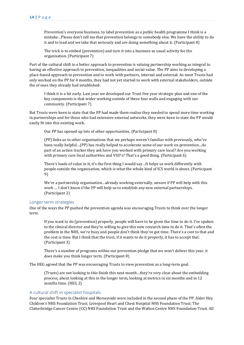Prevention's everyone business, to label prevention as a public health programme I think is a mistake…Please don't tell me that prevention belongs to somebody else. We have the ability to do it and to lead and we take that seriously and are doing something about it. (Participant 8)

The trick is to embed (prevention) and turn it into a business as usual activity for the organisation. (Participant 7)

Part of the cultural shift to a better approach to prevention is valuing partnership working as integral to having an effective approach to prevention, inequalities and social value. The PP aims to developing a place-based approach to prevention and to work with partners, internal and external. As most Trusts had only worked on the PP for 4 months, they had not yet started to work with external stakeholders, outside the of ones they already had established:

I think it is a bit early. Last year we developed our Trust five year strategic plan and one of the key components is that wider working outside of these four walls and engaging with our community. (Participant 7)

But Trusts were keen to state that the PP had made them realise they needed to spend more time working in partnerships and for those who had extensive external networks, they were keen to state the PP would easily fit into this existing work.

Our PP has opened up lots of other opportunities. (Participant 8)

(PP) links us to other organisations that we perhaps weren't familiar with previously, who've been really helpful…(PP) has really helped to accelerate some of our work on prevention…As part of an action tracker they ask have you worked with primary care local? Are you working with primary care local authorities and VSO's? That's a good thing. (Participant 6)

There's loads of value in it, it's the first thing I would say…It helps us work differently with people outside the organisation, which is what the whole kind of ICS world is about. (Participant 9)

We're a partnership organisation…already working externally, unsure if PP will help with this work … I don't know if the PP will help us to establish any new external partnerships. (Participant 2)

#### <span id="page-13-0"></span>Longer term strategies

One of the ways the PP pushed the prevention agenda was encouraging Trusts to think over the longer term.

If you want to do (prevention) properly, people will have to be given the time to do it. I've spoken to the clinical director and they're willing to give this new research time to do it. That's often the problem in the NHS, we're busy and people don't think they've got time. There's a cost to that and the cost is time. But I think that the trust, if it wants to do it properly, it has to accept that. (Participant 3)

There's a number of programs within our prevention pledge that we won't deliver this year, it does make you think longer term. (Participant 8)

The HEG agreed that the PP was encouraging Trusts to view prevention as a long-term goal.

(Trusts) are not looking to this finish this next month…they're very clear about the embedding process, about looking at this in the longer term, looking at metrics in six months and in 12 months time. (HEG 2)

#### <span id="page-13-1"></span>A cultural shift in specialist hospitals

Four specialist Trusts in Cheshire and Merseyside were included in the second phase of the PP: Alder Hey Children's NHS Foundation Trust; Liverpool Heart and Chest Hospital NHS Foundation Trust; The Clatterbridge Cancer Centre (CC) NHS Foundation Trust and the Walton Centre NHS Foundation Trust. All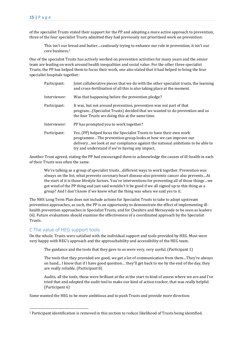of the specialist Trusts stated their support for the PP and adopting a more active approach to prevention, three of the four specialist Trusts admitted they had previously not prioritised work on prevention:

This isn't our bread and butter…cautiously trying to enhance our role in prevention, it isn't our core business.<sup>2</sup>

One of the specialist Trusts has actively worked on prevention activities for many years and the senior team are leading on work around health inequalities and social value. For the other three specialist Trusts, the PP has helped them to focus their work, one also stated that it had helped to bring the four specialist hospitals together:

| Participant: | Joint collaborative pieces that we do with the other specialist trusts, the learning<br>and cross-fertilisation of all this is also taking place at the moment.                                                                                                          |
|--------------|--------------------------------------------------------------------------------------------------------------------------------------------------------------------------------------------------------------------------------------------------------------------------|
| Interviewer: | Was that happening before the prevention pledge?                                                                                                                                                                                                                         |
| Participant: | It was, but not around prevention, prevention was not part of that<br>program(Specialist Trusts) decided that we wanted to do prevention and so<br>the four Trusts are doing this at the same time.                                                                      |
| Interviewer: | PP has prompted you to work together?                                                                                                                                                                                                                                    |
| Participant: | Yes, (PP) helped focus the Specialist Trusts to have their own work<br>programmeThe prevention group looks at how we can improve our<br>deliverywe look at our compliance against the national ambitions to be able to<br>try and understand if we're having any impact. |

Another Trust agreed, stating the PP had encouraged them to acknowledge the causes of ill-health in each of their Trusts was often the same.

We're talking as a group of specialist trusts…different ways to work together. Prevention was always on the list, what prevents coronary heart disease also prevents cancer also prevents…At the start of it is those lifestyle factors. You've interventions for preventing all of those things…we got wind of the PP thing and just said wouldn't it be good if we all signed up to this thing as a group? And I don't know if we knew what the thing was when we said yes to it.

The NHS Long Term Plan does not include actions for Specialist Trusts to take to adopt upstream prevention approaches, as such, the PP is an opportunity to demonstrate the effect of implementing illhealth prevention approaches in Specialist Trusts, and for Cheshire and Merseyside to be seen as leaders (6). Future evaluations should examine the effectiveness of a coordinated approach by the Specialist Trusts.

### <span id="page-14-0"></span>C The value of HEG support tools

On the whole, Trusts were satisfied with the individual support and tools provided by HEG. Most were very happy with HEG's approach and the approachability and accessibility of the HEG team.

The guidance and the tools that they gave to us were very, very useful. (Participant 1)

The tools that they provided are good, we get a lot of communication from them…They're always on hand... I know that if I have good question… they'll get back to me by the end of the day, they are really reliable. (Participant 8)

Audits, all the tools, those were brilliant at the at the start to kind of assess where we are and I've tried that and adopted the audit tool to make our kind of action tracker, that was really helpful. (Participant 6)

Some wanted the HEG to be more ambitious and to push Trusts and provide more direction:

<sup>2</sup> Participant identification is removed in this section to reduce likelihood of Trusts being identified.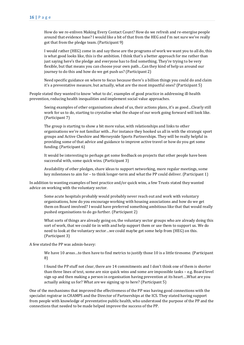How do we re-enliven Making Every Contact Count? How do we refresh and re-energise people around that evidence base? I would like a bit of that from the HEG and I'm not sure we've really got that from the pledge team. (Participant 9)

I would rather (HEG) come in and say these are the programs of work we want you to all do, this is what good looks like, this is the ambition. I think that's a better approach for me rather than just saying here's the pledge and everyone has to find something. They're trying to be very flexible, but that means you can choose your own path…Can they kind of help us around our journey to do this and how do we get push us? (Participant 2)

Need specific guidance on where to focus because there's a billion things you could do and claim it's a preventative measure, but actually, what are the most impactful ones? (Participant 5)

People stated they wanted to know 'what to do', examples of good practice in addressing ill-health prevention, reducing health inequalities and implement social value approaches.

Seeing examples of other organisations ahead of us, their actions plans, it's as good…Clearly still work for us to do, starting to crystalise what the shape of our work going forward will look like. (Participant 7)

The group is starting to show a bit more value, with relationships and links to other organisations we're not familiar with…For instance they hooked us all in with the strategic sport groups and Active Cheshire and Merseyside Sports Partnerships. They will be really helpful in providing some of that advice and guidance to improve active travel or how do you get some funding. (Participant 6)

It would be interesting to perhaps get some feedback on projects that other people have been successful with, some quick wins. (Participant 3)

Availability of other pledges, share ideas to support networking, more regular meetings, some key milestones to aim for – to think longer-term and what the PP could deliver. (Participant 1)

In addition to wanting examples of best practice and/or quick wins, a few Trusts stated they wanted advice on working with the voluntary sector.

Some acute hospitals probably would probably never reach out and work with voluntary organisations, how do you encourage working with housing associations and how do we get them on Board involved? I would have preferred something ambitious like that that would really pushed organisations to do go further. (Participant 2)

What sorts of things are already going on, the voluntary sector groups who are already doing this sort of work, that we could tie in with and help support them or use them to support us. We do need to look at the voluntary sector…we could maybe get some help from (HEG) on this. (Participant 3)

A few stated the PP was admin-heavy:

We have 10 areas…to then have to find metrics to justify those 10 is a little tiresome. (Participant 8)

I found the PP stuff not clear, there are 14 commitments and I don't think one of them is shorter than three lines of text, some are nice quick wins and some are impossible tasks – e.g. Board level sign up and then making a person in organisation having prevention at its heart….What are you actually asking us for? What are we signing up to here? (Participant 5)

One of the mechanisms that improved the effectiveness of the PP was having good connections with the specialist registrar in CHAMPS and the Director of Partnerships at the ICS. They stated having support from people with knowledge of preventative public health, who understood the purpose of the PP and the connections that needed to be made helped improve the success of the PP.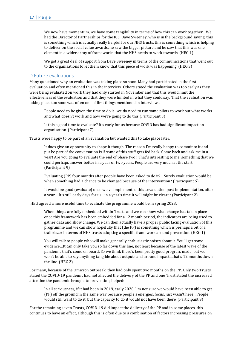We now have momentum, we have some tangibility in terms of how this can work together…We had the Director of Partnerships for the ICS, Dave Sweeney, who is in the background saying, this is something which is actually really helpful for our NHS trusts, this is something which is helping to deliver on the social value awards, he saw the bigger picture and he saw that this was one element in a wider array of frameworks that the NHS needs to work towards. (HEG 1)

We got a great deal of support from Dave Sweeney in terms of the communications that went out to the organisations to let them know that this piece of work was happening. (HEG 3)

#### <span id="page-16-0"></span>D Future evaluations

Many questioned why an evaluation was taking place so soon. Many had participated in the first evaluation and often mentioned this in the interview. Others stated the evaluation was too early as they were being evaluated on work they had only started in November and that this would limit the effectiveness of the evaluation and that they were limited in what they could say. That the evaluation was taking place too soon was often one of first things mentioned in interviews.

People need to be given the time to do it...we do need to run some pilots to work out what works and what doesn't work and how we're going to do this.(Participant 3)

Is this a good time to evaluate? It's early for us because COVID has had significant impact on organisation. (Participant 7)

Trusts were happy to be part of an evaluation but wanted this to take place later.

It does give an opportunity to shape it though. The reason I'm really happy to commit to it and put be part of the conversation is if some of this stuff gets fed back. Come back and ask me in a year! Are you going to evaluate the end of phase two? That's interesting to me, something that we could perhaps answer better in a year or two years. People are very much at the start. (Participant 9)

Evaluating (PP) four months after people have been asked to do it?... Surely evaluation would be when something had a chance to be changed because of the intervention? (Participant 5)

It would be good (evaluate) once we've implemented this…evaluation post implementation, after a year… It's still early days for us…in a year's time it will might be clearer.(Participant 2)

HEG agreed a more useful time to evaluate the programme would be in spring 2023.

When things are fully embedded within Trusts and we can show what change has taken place once this framework has been embedded for a 12 month period, the indicators are being used to gather data and show change. We can then actually have a proper public facing evaluation of this programme and we can show hopefully that (the PP) is something which is perhaps a bit of a trailblazer in terms of NHS trusts adopting a specific framework around prevention. (HEG 1)

You will talk to people who will make generally enthusiastic noises about it. You'll get some evidence…It can only take you so far down this line, not least because of the latest wave of the pandemic that's come on board. So we think there's been pretty good progress made, but we won't be able to say anything tangible about outputs and around impact…that's 12 months down the line. (HEG 2)

For many, because of the Omicron outbreak, they had only spent two months on the PP. Only two Trusts stated the COVID-19 pandemic had not affected the delivery of the PP and one Trust stated the increased attention the pandemic brought to prevention, helped:

In all seriousness, if it had been in 2019, early 2020, I'm not sure we would have been able to get (PP) off the ground in the same way because people's energies, focus, just wasn't here…People would still want to do it, but the capacity to do it would not have been there. (Participant 9)

For the remaining seven Trusts, COVID-19 did impact the delivery of the PP and in some places, this continues to have an effect, although this is often due to a combination of factors increasing pressures on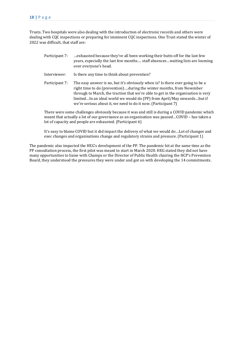Trusts. Two hospitals were also dealing with the introduction of electronic records and others were dealing with CQC inspections or preparing for imminent CQC inspections. One Trust stated the winter of 2022 was difficult, that staff are:

- Participant 7: …exhausted because they've all been working their butts off for the last few years, especially the last few months…. staff absences…waiting lists are looming over everyone's head.
- Interviewer: Is there any time to think about prevention?
- Participant 7: The easy answer is no, but it's obviously when is? Is there ever going to be a right time to do (prevention)….during the winter months, from November through to March, the traction that we're able to get in the organisation is very limited…In an ideal world we would do (PP) from April/May onwards…but if we're serious about it, we need to do it now. (Participant 7)

There were some challenges obviously because it was and still is during a COVID pandemic which meant that actually a lot of our governance as an organisation was paused…COVID – has taken a lot of capacity and people are exhausted. (Participant 6)

It's easy to blame COVID but it did impact the delivery of what we would do…Lot of changes and exec changes and organisations change and regulatory strains and pressure. (Participant 1)

The pandemic also impacted the HEG's development of the PP. The pandemic hit at the same time as the PP consultation process, the first pilot was meant to start in March 2020. HEG stated they did not have many opportunities to liaise with Champs or the Director of Public Health chairing the HCP's Prevention Board, they understood the pressures they were under and got on with developing the 14 commitments.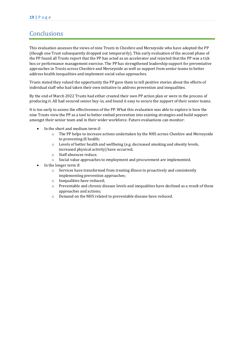# <span id="page-18-0"></span>**Conclusions**

This evaluation assesses the views of nine Trusts in Cheshire and Merseyside who have adopted the PP (though one Trust subsequently dropped out temporarily). This early evaluation of the second phase of the PP found all Trusts report that the PP has acted as an accelerator and rejected that the PP was a tick box or performance management exercise. The PP has strengthened leadership support for preventative approaches in Trusts across Cheshire and Merseyside as well as support from senior teams to better address health inequalities and implement social value approaches.

Trusts stated they valued the opportunity the PP gave them to tell positive stories about the efforts of individual staff who had taken their own initiative to address prevention and inequalities.

By the end of March 2022 Trusts had either created their own PP action plan or were in the process of producing it. All had secured senior buy-in, and found it easy to secure the support of their senior teams.

It is too early to assess the effectiveness of the PP. What this evaluation was able to explore is how the nine Trusts view the PP as a tool to better embed prevention into existing strategies and build support amongst their senior team and in their wider workforce. Future evaluations can monitor:

- In the short and medium term if:
	- o The PP helps to increase actions undertaken by the NHS across Cheshire and Merseyside to preventing ill health;
	- o Levels of better health and wellbeing (e.g. decreased smoking and obesity levels, increased physical activity) have occurred.
	- o Staff absences reduce.
	- o Social value approaches to employment and procurement are implemented.
- In the longer term if:
	- o Services have transformed from treating illness to proactively and consistently implementing prevention approaches;
	- o Inequalities have reduced;
	- o Preventable and chronic disease levels and inequalities have declined as a result of these approaches and actions;
	- o Demand on the NHS related to preventable disease have reduced.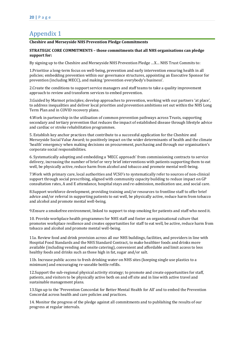# <span id="page-19-0"></span>Appendix 1

#### **Cheshire and Merseyside NHS Prevention Pledge Commitments**

#### **STRATEGIC CORE COMMITMENTS – those commitments that all NHS organisations can pledge support for:**

By signing up to the Cheshire and Merseyside NHS Prevention Pledge …X… NHS Trust Commits to:

1.Prioritise a long-term focus on well-being, prevention and early intervention ensuring health in all policies; embedding prevention within our governance structures, appointing an Executive Sponsor for prevention (including MECC), and making 'prevention everybody's business'.

2.Create the conditions to support service managers and staff teams to take a quality improvement approach to review and transform services to embed prevention.

3.Guided by Marmot principles; develop approaches to prevention, working with our partners 'at place', to address inequalities and deliver local priorities and prevention ambitions set out within the NHS Long Term Plan and in COVID recovery plans.

4.Work in partnership in the utilisation of common prevention pathways across Trusts, supporting secondary and tertiary prevention that reduces the impact of established disease through lifestyle advice and cardiac or stroke rehabilitation programmes.

5. Establish key anchor practices that contribute to a successful application for the Cheshire and Merseyside Social Value Award; to positively impact on the wider determinants of health and the climate 'health' emergency when making decisions on procurement, purchasing and through our organisation's corporate social responsibilities.

6. Systematically adopting and embedding a 'MECC approach' from commissioning contracts to service delivery, increasing the number of brief or very brief interventions with patients supporting them to eat well, be physically active, reduce harm from alcohol and tobacco and promote mental well-being.

7.Work with primary care, local authorities and VCSO's to systematically refer to sources of non-clinical support through social prescribing, aligned with community capacity building to reduce impact on GP consultation rates, A and E attendance, hospital stays and re-admission, medication use, and social care.

8.Support workforce development, providing training and/or resources to frontline staff to offer brief advice and/or referral in supporting patients to eat well, be physically active, reduce harm from tobacco and alcohol and promote mental well-being.

9.Ensure a smokefree environment, linked to support to stop smoking for patients and staff who need it.

10. Provide workplace health programmes for NHS staff and foster an organisational culture that promotes workplace resilience and creates opportunities for staff to eat well, be active, reduce harm from tobacco and alcohol and promote mental well-being.

11a. Review food and drink provision across all our NHS buildings, facilities, and providers in line with Hospital Food Standards and the NHS Standard Contract, to make healthier foods and drinks more available (including vending and onsite catering), convenient and affordable and limit access to less healthy foods and drinks such as those high in fat, sugar and/or salt.

11b. Increase public access to fresh drinking water on NHS sites (keeping single use plastics to a minimum) and encouraging re-useable bottle refills.

12.Support the sub-regional physical activity strategy; to promote and create opportunities for staff, patients, and visitors to be physically active both on and off site and in line with active travel and sustainable management plans.

13.Sign up to the 'Prevention Concordat for Better Mental Health for All' and to embed the Prevention Concordat across health and care policies and practices.

14. Monitor the progress of the pledge against all commitments and to publishing the results of our progress at regular intervals.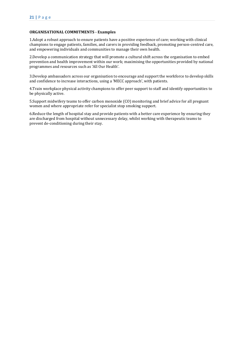#### **ORGANISATIONAL COMMITMENTS - Examples**

1.Adopt a robust approach to ensure patients have a positive experience of care; working with clinical champions to engage patients, families, and carers in providing feedback, promoting person-centred care, and empowering individuals and communities to manage their own health.

2.Develop a communication strategy that will promote a cultural shift across the organisation to embed prevention and health improvement within our work; maximising the opportunities provided by national programmes and resources such as 'All Our Health'.

3.Develop ambassadors across our organisation to encourage and support the workforce to develop skills and confidence to increase interactions, using a 'MECC approach', with patients.

4.Train workplace physical activity champions to offer peer support to staff and identify opportunities to be physically active.

5.Support midwifery teams to offer carbon monoxide (CO) monitoring and brief advice for all pregnant women and where appropriate refer for specialist stop smoking support.

6.Reduce the length of hospital stay and provide patients with a better care experience by ensuring they are discharged from hospital without unnecessary delay, whilst working with therapeutic teams to prevent de-conditioning during their stay.